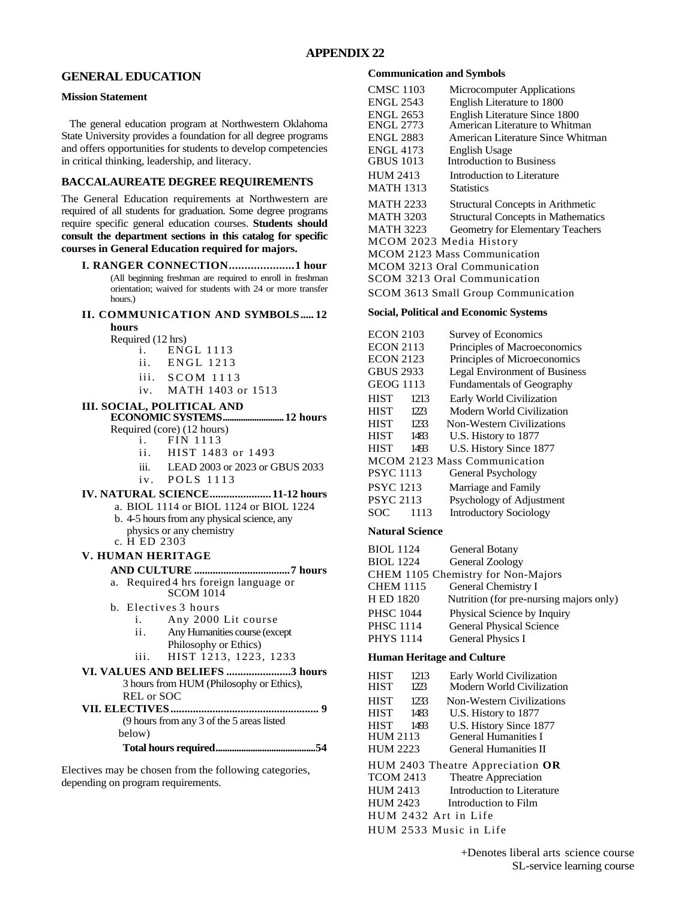# **GENERAL EDUCATION**

### **Mission Statement**

The general education program at Northwestern Oklahoma State University provides a foundation for all degree programs and offers opportunities for students to develop competencies in critical thinking, leadership, and literacy.

#### **BACCALAUREATE DEGREE REQUIREMENTS**

The General Education requirements at Northwestern are required of all students for graduation. Some degree programs require specific general education courses. **Students should consult the department sections in this catalog for specific courses in General Education required for majors.** 

- **I. RANGER CONNECTION ..................... 1 hour**  (All beginning freshman are required to enroll in freshman orientation; waived for students with 24 or more transfer hours.)
- **II. COMMUNICATION AND SYMBOLS ..... 12 hours**

Required  $(12 \text{ hrs})$ <br>i. EN

- ENGL 1113
- ii. ENGL 1213
- iii. SCOM 1113
- iv. MATH 1403 or 1513

## **III. SOCIAL, POLITICAL AND**

**ECONOMIC SYSTEMS ........................... 12 hours**  Required (core) (12 hours)

- i. FIN 1113
	- ii. HIST 1483 or 1493
	- iii. LEAD 2003 or 2023 or GBUS 2033
	- iv. POLS 1113
- **IV. NATURAL SCIENCE ...................... 11-12 hours** 
	- a. BIOL 1114 or BIOL 1124 or BIOL 1224
	- b. 4-5 hours from any physical science, any
	- physics or any chemistry c. H ED 2303
	-

#### **V. HUMAN HERITAGE**

- **AND CULTURE .................................... 7 hours**  a. Required4 hrs foreign language or
- SCOM 1014
- b. Electives-3 hours
	- i. Any 2000 Lit course
	- ii. Any Humanities course (except Philosophy or Ethics)
	- iii. HIST 1213, 1223, 1233
- **VI. VALUES AND BELIEFS ....................... 3 hours**  3 hours from HUM (Philosophy or Ethics), REL or SOC **VII. ELECTIVES ..................................................... 9** 
	- (9 hours from any 3 of the 5 areas listed below) **Total hours required ........................................... 54**

Electives may be chosen from the following categories, depending on program requirements.

#### **Communication and Symbols**

| <b>CMSC 1103</b>                    | Microcomputer Applications                |  |  |
|-------------------------------------|-------------------------------------------|--|--|
| <b>ENGL 2543</b>                    | English Literature to 1800                |  |  |
| <b>ENGL 2653</b>                    | English Literature Since 1800             |  |  |
| <b>ENGL 2773</b>                    | American Literature to Whitman            |  |  |
| <b>ENGL 2883</b>                    | American Literature Since Whitman         |  |  |
| <b>ENGL 4173</b>                    | English Usage                             |  |  |
| <b>GBUS 1013</b>                    | Introduction to Business                  |  |  |
| <b>HUM 2413</b>                     | Introduction to Literature                |  |  |
| <b>MATH 1313</b>                    | <b>Statistics</b>                         |  |  |
| <b>MATH 2233</b>                    | <b>Structural Concepts in Arithmetic</b>  |  |  |
| <b>MATH 3203</b>                    | <b>Structural Concepts in Mathematics</b> |  |  |
| <b>MATH 3223</b>                    | <b>Geometry for Elementary Teachers</b>   |  |  |
| MCOM 2023 Media History             |                                           |  |  |
| <b>MCOM 2123 Mass Communication</b> |                                           |  |  |
| MCOM 3213 Oral Communication        |                                           |  |  |
| SCOM 3213 Oral Communication        |                                           |  |  |
| SCOM 3613 Small Group Communication |                                           |  |  |

#### **Social, Political and Economic Systems**

| <b>ECON 2103</b>                    |      | Survey of Economics                  |
|-------------------------------------|------|--------------------------------------|
| <b>ECON 2113</b>                    |      | Principles of Macroeconomics         |
| <b>ECON 2123</b>                    |      | Principles of Microeconomics         |
| <b>GBUS 2933</b>                    |      | <b>Legal Environment of Business</b> |
| <b>GEOG 1113</b>                    |      | <b>Fundamentals of Geography</b>     |
| <b>HIST</b>                         | 1213 | Early World Civilization             |
| <b>HIST</b>                         | 1223 | Modern World Civilization            |
| <b>HIST</b>                         | 1233 | Non-Western Civilizations            |
| <b>HIST</b>                         | 1483 | U.S. History to 1877                 |
| <b>HIST</b>                         | 1493 | U.S. History Since 1877              |
| <b>MCOM 2123 Mass Communication</b> |      |                                      |
| <b>PSYC</b> 1113                    |      | General Psychology                   |
| <b>PSYC 1213</b>                    |      | Marriage and Family                  |
| <b>PSYC 2113</b>                    |      | Psychology of Adjustment             |
| SOC                                 | 1113 | <b>Introductory Sociology</b>        |

## **Natural Science**

| <b>BIOL</b> 1124                   | <b>General Botany</b>                   |  |
|------------------------------------|-----------------------------------------|--|
| <b>BIOL</b> 1224                   | General Zoology                         |  |
| CHEM 1105 Chemistry for Non-Majors |                                         |  |
| <b>CHEM 1115</b>                   | General Chemistry I                     |  |
| H ED 1820                          | Nutrition (for pre-nursing majors only) |  |
| <b>PHSC 1044</b>                   | Physical Science by Inquiry             |  |
| <b>PHSC 1114</b>                   | <b>General Physical Science</b>         |  |
| <b>PHYS 1114</b>                   | General Physics I                       |  |

#### **Human Heritage and Culture**

| <b>HIST</b>      | 1213 | Early World Civilization         |
|------------------|------|----------------------------------|
| <b>HIST</b>      | 1223 | Modern World Civilization        |
| <b>HIST</b>      | 1233 | Non-Western Civilizations        |
| <b>HIST</b>      | 1483 | U.S. History to 1877             |
| <b>HIST</b>      | 1493 | U.S. History Since 1877          |
| <b>HUM 2113</b>  |      | <b>General Humanities I</b>      |
| <b>HUM 2223</b>  |      | <b>General Humanities II</b>     |
|                  |      | HUM 2403 Theatre Appreciation OR |
| <b>TCOM 2413</b> |      | Theatre Appreciation             |
| <b>HUM 2413</b>  |      | Introduction to Literature       |
| <b>HUM 2423</b>  |      | Introduction to Film             |
|                  |      | HUM 2432 Art in Life             |
|                  |      | HUM 2533 Music in Life           |